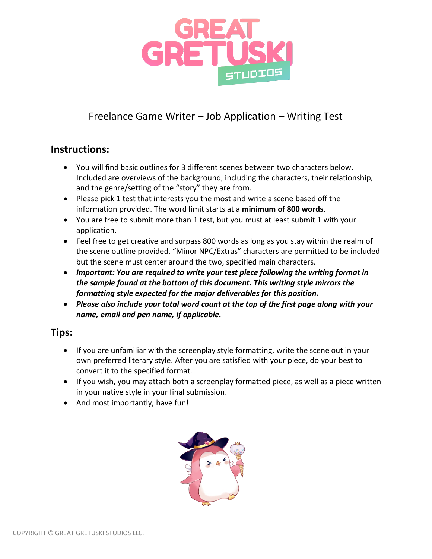

# Freelance Game Writer – Job Application – Writing Test

#### **Instructions:**

- You will find basic outlines for 3 different scenes between two characters below. Included are overviews of the background, including the characters, their relationship, and the genre/setting of the "story" they are from.
- Please pick 1 test that interests you the most and write a scene based off the information provided. The word limit starts at a **minimum of 800 words**.
- You are free to submit more than 1 test, but you must at least submit 1 with your application.
- Feel free to get creative and surpass 800 words as long as you stay within the realm of the scene outline provided. "Minor NPC/Extras" characters are permitted to be included but the scene must center around the two, specified main characters.
- *Important: You are required to write your test piece following the writing format in the sample found at the bottom of this document. This writing style mirrors the formatting style expected for the major deliverables for this position.*
- *Please also include your total word count at the top of the first page along with your name, email and pen name, if applicable.*

### **Tips:**

- If you are unfamiliar with the screenplay style formatting, write the scene out in your own preferred literary style. After you are satisfied with your piece, do your best to convert it to the specified format.
- If you wish, you may attach both a screenplay formatted piece, as well as a piece written in your native style in your final submission.
- And most importantly, have fun!

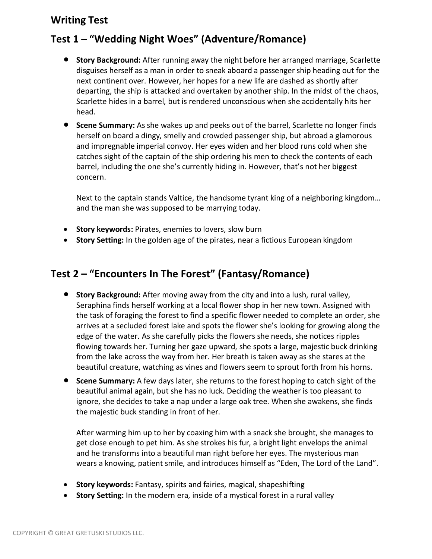### **Writing Test**

### **Test 1 – "Wedding Night Woes" (Adventure/Romance)**

- **Story Background:** After running away the night before her arranged marriage, Scarlette disguises herself as a man in order to sneak aboard a passenger ship heading out for the next continent over. However, her hopes for a new life are dashed as shortly after departing, the ship is attacked and overtaken by another ship. In the midst of the chaos, Scarlette hides in a barrel, but is rendered unconscious when she accidentally hits her head.
- **Scene Summary:** As she wakes up and peeks out of the barrel, Scarlette no longer finds herself on board a dingy, smelly and crowded passenger ship, but abroad a glamorous and impregnable imperial convoy. Her eyes widen and her blood runs cold when she catches sight of the captain of the ship ordering his men to check the contents of each barrel, including the one she's currently hiding in. However, that's not her biggest concern.

Next to the captain stands Valtice, the handsome tyrant king of a neighboring kingdom… and the man she was supposed to be marrying today.

- **Story keywords:** Pirates, enemies to lovers, slow burn
- **Story Setting:** In the golden age of the pirates, near a fictious European kingdom

### **Test 2 – "Encounters In The Forest" (Fantasy/Romance)**

- **Story Background:** After moving away from the city and into a lush, rural valley, Seraphina finds herself working at a local flower shop in her new town. Assigned with the task of foraging the forest to find a specific flower needed to complete an order, she arrives at a secluded forest lake and spots the flower she's looking for growing along the edge of the water. As she carefully picks the flowers she needs, she notices ripples flowing towards her. Turning her gaze upward, she spots a large, majestic buck drinking from the lake across the way from her. Her breath is taken away as she stares at the beautiful creature, watching as vines and flowers seem to sprout forth from his horns.
- **Scene Summary:** A few days later, she returns to the forest hoping to catch sight of the beautiful animal again, but she has no luck. Deciding the weather is too pleasant to ignore, she decides to take a nap under a large oak tree. When she awakens, she finds the majestic buck standing in front of her.

After warming him up to her by coaxing him with a snack she brought, she manages to get close enough to pet him. As she strokes his fur, a bright light envelops the animal and he transforms into a beautiful man right before her eyes. The mysterious man wears a knowing, patient smile, and introduces himself as "Eden, The Lord of the Land".

- **Story keywords:** Fantasy, spirits and fairies, magical, shapeshifting
- **Story Setting:** In the modern era, inside of a mystical forest in a rural valley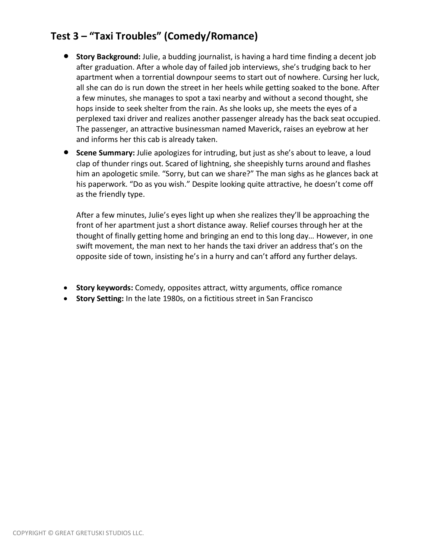## **Test 3 – "Taxi Troubles" (Comedy/Romance)**

- **Story Background:** Julie, a budding journalist, is having a hard time finding a decent job after graduation. After a whole day of failed job interviews, she's trudging back to her apartment when a torrential downpour seems to start out of nowhere. Cursing her luck, all she can do is run down the street in her heels while getting soaked to the bone. After a few minutes, she manages to spot a taxi nearby and without a second thought, she hops inside to seek shelter from the rain. As she looks up, she meets the eyes of a perplexed taxi driver and realizes another passenger already has the back seat occupied. The passenger, an attractive businessman named Maverick, raises an eyebrow at her and informs her this cab is already taken.
- **Scene Summary:** Julie apologizes for intruding, but just as she's about to leave, a loud clap of thunder rings out. Scared of lightning, she sheepishly turns around and flashes him an apologetic smile. "Sorry, but can we share?" The man sighs as he glances back at his paperwork. "Do as you wish." Despite looking quite attractive, he doesn't come off as the friendly type.

After a few minutes, Julie's eyes light up when she realizes they'll be approaching the front of her apartment just a short distance away. Relief courses through her at the thought of finally getting home and bringing an end to this long day… However, in one swift movement, the man next to her hands the taxi driver an address that's on the opposite side of town, insisting he's in a hurry and can't afford any further delays.

- **Story keywords:** Comedy, opposites attract, witty arguments, office romance
- **Story Setting:** In the late 1980s, on a fictitious street in San Francisco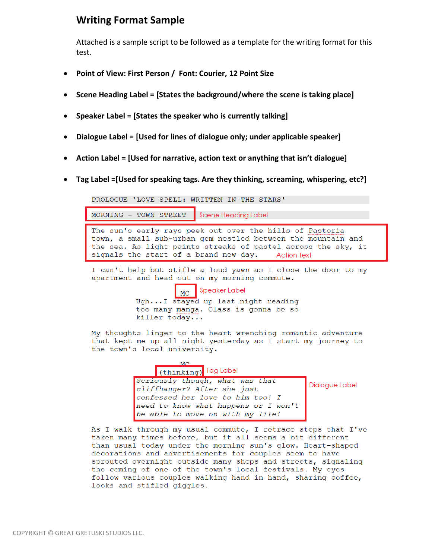### **Writing Format Sample**

Attached is a sample script to be followed as a template for the writing format for this test.

- **Point of View: First Person / Font: Courier, 12 Point Size**
- **Scene Heading Label = [States the background/where the scene is taking place]**
- **Speaker Label = [States the speaker who is currently talking]**
- **Dialogue Label = [Used for lines of dialogue only; under applicable speaker]**
- **Action Label = [Used for narrative, action text or anything that isn't dialogue]**
- **Tag Label =[Used for speaking tags. Are they thinking, screaming, whispering, etc?]**

PROLOGUE 'LOVE SPELL: WRITTEN IN THE STARS'

MORNING - TOWN STREET **Scene Heading Label** 

The sun's early rays peek out over the hills of Pastoria town, a small sub-urban gem nestled between the mountain and the sea. As light paints streaks of pastel across the sky, it signals the start of a brand new day. Action Text

I can't help but stifle a loud yawn as I close the door to my apartment and head out on my morning commute.

> **Speaker Label** l MC i

Ugh...I stayed up last night reading too many manga. Class is gonna be so killer today...

My thoughts linger to the heart-wrenching romantic adventure that kept me up all night yesterday as I start my journey to the town's local university.



Dialogue Label

As I walk through my usual commute, I retrace steps that I've taken many times before, but it all seems a bit different than usual today under the morning sun's glow. Heart-shaped decorations and advertisements for couples seem to have sprouted overnight outside many shops and streets, signaling the coming of one of the town's local festivals. My eyes follow various couples walking hand in hand, sharing coffee, looks and stifled giggles.